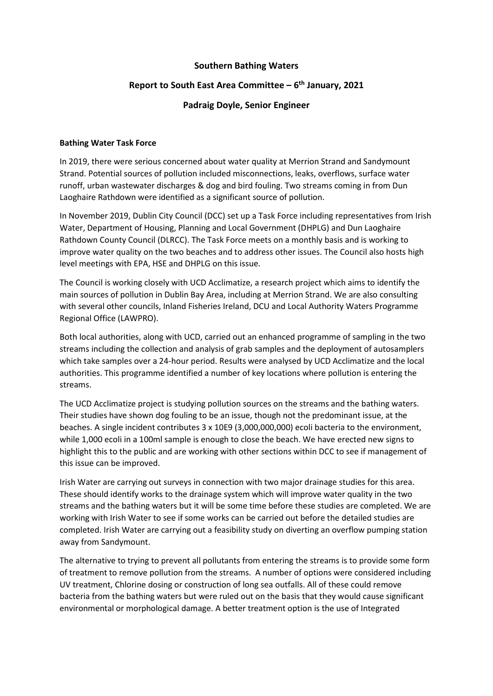## **Southern Bathing Waters**

# **Report to South East Area Committee – 6 th January, 2021**

## **Padraig Doyle, Senior Engineer**

#### **Bathing Water Task Force**

In 2019, there were serious concerned about water quality at Merrion Strand and Sandymount Strand. Potential sources of pollution included misconnections, leaks, overflows, surface water runoff, urban wastewater discharges & dog and bird fouling. Two streams coming in from Dun Laoghaire Rathdown were identified as a significant source of pollution.

In November 2019, Dublin City Council (DCC) set up a Task Force including representatives from Irish Water, Department of Housing, Planning and Local Government (DHPLG) and Dun Laoghaire Rathdown County Council (DLRCC). The Task Force meets on a monthly basis and is working to improve water quality on the two beaches and to address other issues. The Council also hosts high level meetings with EPA, HSE and DHPLG on this issue.

The Council is working closely with UCD Acclimatize, a research project which aims to identify the main sources of pollution in Dublin Bay Area, including at Merrion Strand. We are also consulting with several other councils, Inland Fisheries Ireland, DCU and Local Authority Waters Programme Regional Office (LAWPRO).

Both local authorities, along with UCD, carried out an enhanced programme of sampling in the two streams including the collection and analysis of grab samples and the deployment of autosamplers which take samples over a 24-hour period. Results were analysed by UCD Acclimatize and the local authorities. This programme identified a number of key locations where pollution is entering the streams.

The UCD Acclimatize project is studying pollution sources on the streams and the bathing waters. Their studies have shown dog fouling to be an issue, though not the predominant issue, at the beaches. A single incident contributes 3 x 10E9 (3,000,000,000) ecoli bacteria to the environment, while 1,000 ecoli in a 100ml sample is enough to close the beach. We have erected new signs to highlight this to the public and are working with other sections within DCC to see if management of this issue can be improved.

Irish Water are carrying out surveys in connection with two major drainage studies for this area. These should identify works to the drainage system which will improve water quality in the two streams and the bathing waters but it will be some time before these studies are completed. We are working with Irish Water to see if some works can be carried out before the detailed studies are completed. Irish Water are carrying out a feasibility study on diverting an overflow pumping station away from Sandymount.

The alternative to trying to prevent all pollutants from entering the streams is to provide some form of treatment to remove pollution from the streams. A number of options were considered including UV treatment, Chlorine dosing or construction of long sea outfalls. All of these could remove bacteria from the bathing waters but were ruled out on the basis that they would cause significant environmental or morphological damage. A better treatment option is the use of Integrated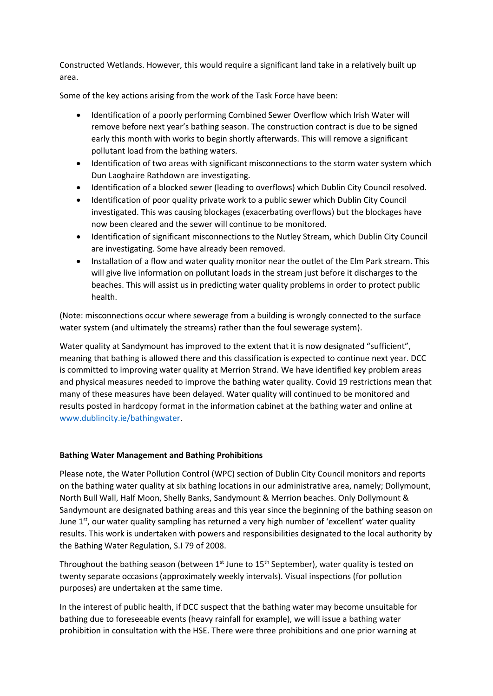Constructed Wetlands. However, this would require a significant land take in a relatively built up area.

Some of the key actions arising from the work of the Task Force have been:

- Identification of a poorly performing Combined Sewer Overflow which Irish Water will remove before next year's bathing season. The construction contract is due to be signed early this month with works to begin shortly afterwards. This will remove a significant pollutant load from the bathing waters.
- Identification of two areas with significant misconnections to the storm water system which Dun Laoghaire Rathdown are investigating.
- Identification of a blocked sewer (leading to overflows) which Dublin City Council resolved.
- Identification of poor quality private work to a public sewer which Dublin City Council investigated. This was causing blockages (exacerbating overflows) but the blockages have now been cleared and the sewer will continue to be monitored.
- Identification of significant misconnections to the Nutley Stream, which Dublin City Council are investigating. Some have already been removed.
- Installation of a flow and water quality monitor near the outlet of the Elm Park stream. This will give live information on pollutant loads in the stream just before it discharges to the beaches. This will assist us in predicting water quality problems in order to protect public health.

(Note: misconnections occur where sewerage from a building is wrongly connected to the surface water system (and ultimately the streams) rather than the foul sewerage system).

Water quality at Sandymount has improved to the extent that it is now designated "sufficient", meaning that bathing is allowed there and this classification is expected to continue next year. DCC is committed to improving water quality at Merrion Strand. We have identified key problem areas and physical measures needed to improve the bathing water quality. Covid 19 restrictions mean that many of these measures have been delayed. Water quality will continued to be monitored and results posted in hardcopy format in the information cabinet at the bathing water and online at [www.dublincity.ie/bathingwater.](http://www.dublincity.ie/bathingwater)

#### **Bathing Water Management and Bathing Prohibitions**

Please note, the Water Pollution Control (WPC) section of Dublin City Council monitors and reports on the bathing water quality at six bathing locations in our administrative area, namely; Dollymount, North Bull Wall, Half Moon, Shelly Banks, Sandymount & Merrion beaches. Only Dollymount & Sandymount are designated bathing areas and this year since the beginning of the bathing season on June  $1<sup>st</sup>$ , our water quality sampling has returned a very high number of 'excellent' water quality results. This work is undertaken with powers and responsibilities designated to the local authority by the Bathing Water Regulation, S.I 79 of 2008.

Throughout the bathing season (between  $1<sup>st</sup>$  June to  $15<sup>th</sup>$  September), water quality is tested on twenty separate occasions (approximately weekly intervals). Visual inspections (for pollution purposes) are undertaken at the same time.

In the interest of public health, if DCC suspect that the bathing water may become unsuitable for bathing due to foreseeable events (heavy rainfall for example), we will issue a bathing water prohibition in consultation with the HSE. There were three prohibitions and one prior warning at